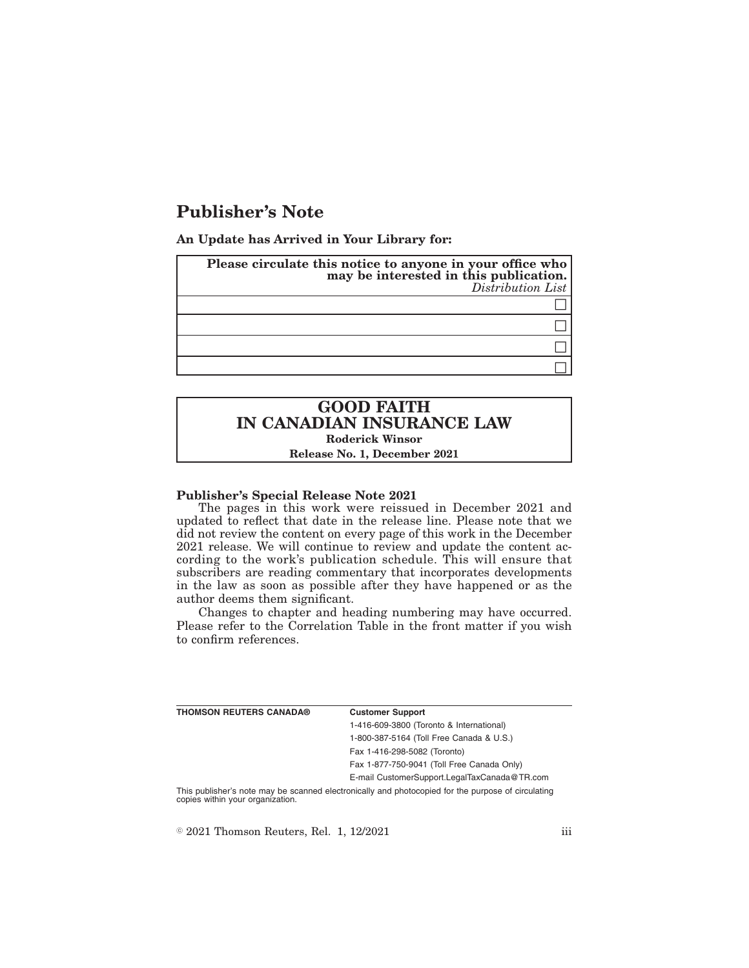# **Publisher's Note**

**An Update has Arrived in Your Library for:**

| Please circulate this notice to anyone in your office who<br>may be interested in this publication.<br>Distribution List |
|--------------------------------------------------------------------------------------------------------------------------|
|                                                                                                                          |
|                                                                                                                          |
|                                                                                                                          |
|                                                                                                                          |

## **GOOD FAITH IN CANADIAN INSURANCE LAW Roderick Winsor Release No. 1, December 2021**

#### **Publisher's Special Release Note 2021**

The pages in this work were reissued in December 2021 and updated to reflect that date in the release line. Please note that we did not review the content on every page of this work in the December 2021 release. We will continue to review and update the content according to the work's publication schedule. This will ensure that subscribers are reading commentary that incorporates developments in the law as soon as possible after they have happened or as the author deems them significant.

Changes to chapter and heading numbering may have occurred. Please refer to the Correlation Table in the front matter if you wish to confirm references.

| THOMSON REUTERS CANADA® | <b>Customer Support</b>                      |
|-------------------------|----------------------------------------------|
|                         | 1-416-609-3800 (Toronto & International)     |
|                         | 1-800-387-5164 (Toll Free Canada & U.S.)     |
|                         | Fax 1-416-298-5082 (Toronto)                 |
|                         | Fax 1-877-750-9041 (Toll Free Canada Only)   |
|                         | E-mail CustomerSupport.LegalTaxCanada@TR.com |
|                         |                                              |

This publisher's note may be scanned electronically and photocopied for the purpose of circulating copies within your organization.

 $\textdegree$  2021 Thomson Reuters, Rel. 1, 12/2021 iii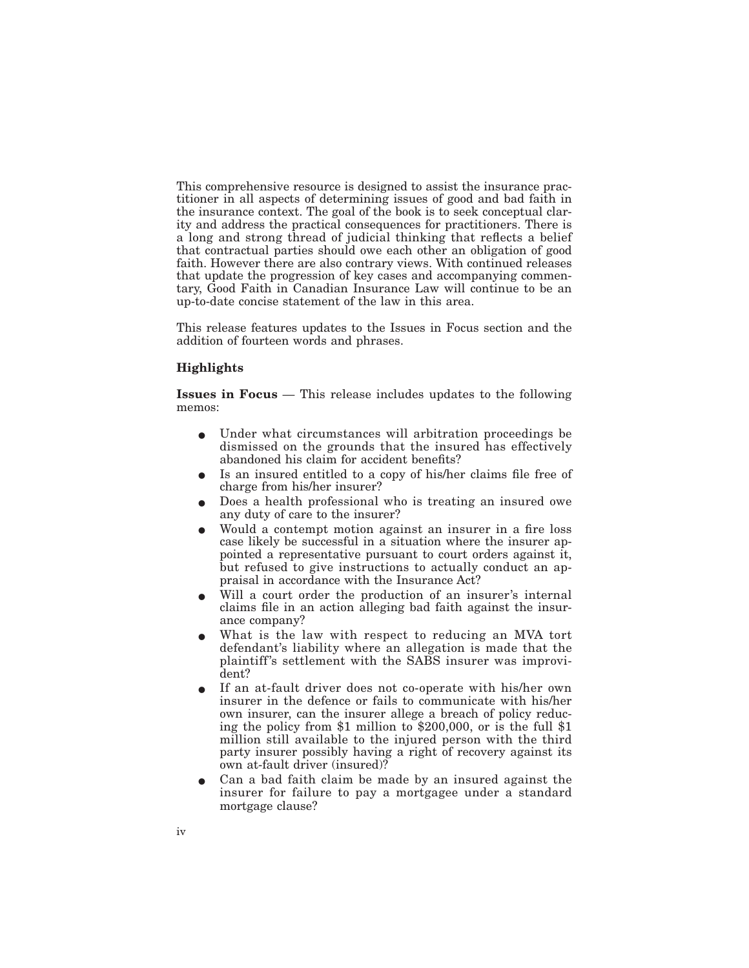This comprehensive resource is designed to assist the insurance practitioner in all aspects of determining issues of good and bad faith in the insurance context. The goal of the book is to seek conceptual clarity and address the practical consequences for practitioners. There is a long and strong thread of judicial thinking that reflects a belief that contractual parties should owe each other an obligation of good faith. However there are also contrary views. With continued releases that update the progression of key cases and accompanying commentary, Good Faith in Canadian Insurance Law will continue to be an up-to-date concise statement of the law in this area.

This release features updates to the Issues in Focus section and the addition of fourteen words and phrases.

### **Highlights**

**Issues in Focus** — This release includes updates to the following memos:

- E Under what circumstances will arbitration proceedings be dismissed on the grounds that the insured has effectively abandoned his claim for accident benefits?
- E Is an insured entitled to a copy of his/her claims file free of charge from his/her insurer?
- E Does a health professional who is treating an insured owe any duty of care to the insurer?
- E Would a contempt motion against an insurer in a fire loss case likely be successful in a situation where the insurer appointed a representative pursuant to court orders against it, but refused to give instructions to actually conduct an appraisal in accordance with the Insurance Act?
- Will a court order the production of an insurer's internal claims file in an action alleging bad faith against the insurance company?
- What is the law with respect to reducing an MVA tort defendant's liability where an allegation is made that the plaintiff's settlement with the SABS insurer was improvident?
- E If an at-fault driver does not co-operate with his/her own insurer in the defence or fails to communicate with his/her own insurer, can the insurer allege a breach of policy reducing the policy from \$1 million to \$200,000, or is the full \$1 million still available to the injured person with the third party insurer possibly having a right of recovery against its own at-fault driver (insured)?
- E Can a bad faith claim be made by an insured against the insurer for failure to pay a mortgagee under a standard mortgage clause?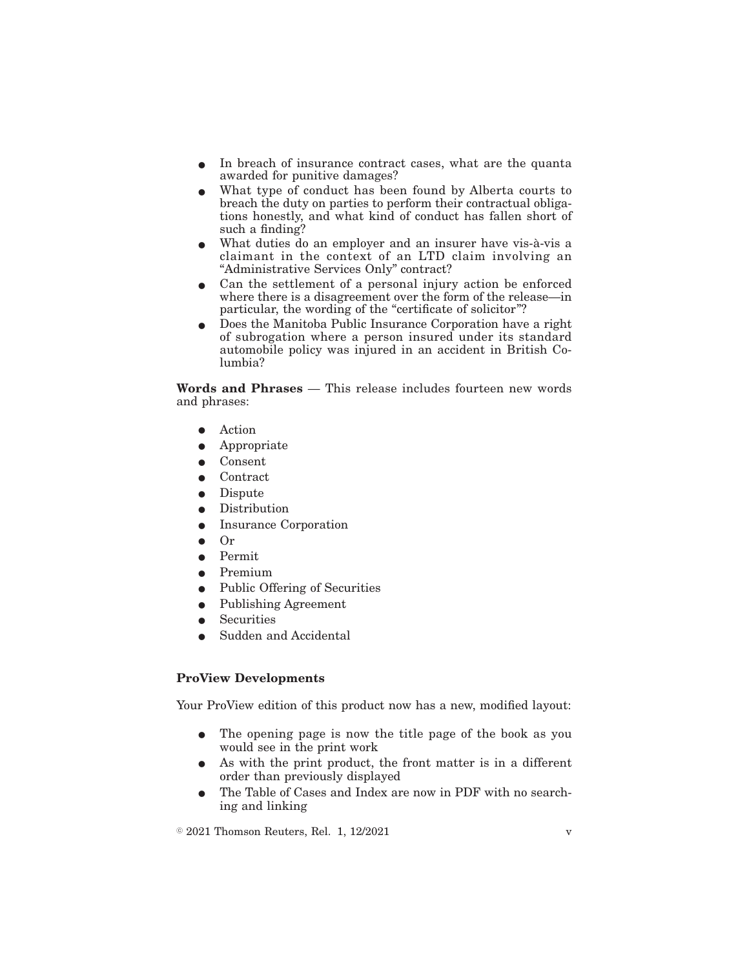- In breach of insurance contract cases, what are the quanta awarded for punitive damages?
- E What type of conduct has been found by Alberta courts to breach the duty on parties to perform their contractual obligations honestly, and what kind of conduct has fallen short of such a finding?
- E What duties do an employer and an insurer have vis-à-vis a claimant in the context of an LTD claim involving an "Administrative Services Only" contract?
- $\bullet$  Can the settlement of a personal injury action be enforced where there is a disagreement over the form of the release—in particular, the wording of the "certificate of solicitor"?
- Does the Manitoba Public Insurance Corporation have a right of subrogation where a person insured under its standard automobile policy was injured in an accident in British Columbia?

**Words and Phrases** — This release includes fourteen new words and phrases:

- $\bullet$  Action
- $\bullet$  Appropriate
- **Consent**
- **Contract**
- $\bullet$  Dispute
- $\bullet$  Distribution
- Insurance Corporation
- $\Omega$ r
- $\bullet$  Permit
- $\bullet$  Premium
- $\bullet$  Public Offering of Securities
- $\bullet$  Publishing Agreement
- **Securities**
- Sudden and Accidental

### **ProView Developments**

Your ProView edition of this product now has a new, modified layout:

- The opening page is now the title page of the book as you would see in the print work
- As with the print product, the front matter is in a different order than previously displayed
- The Table of Cases and Index are now in PDF with no searching and linking

 $\textdegree$  2021 Thomson Reuters, Rel. 1, 12/2021 v